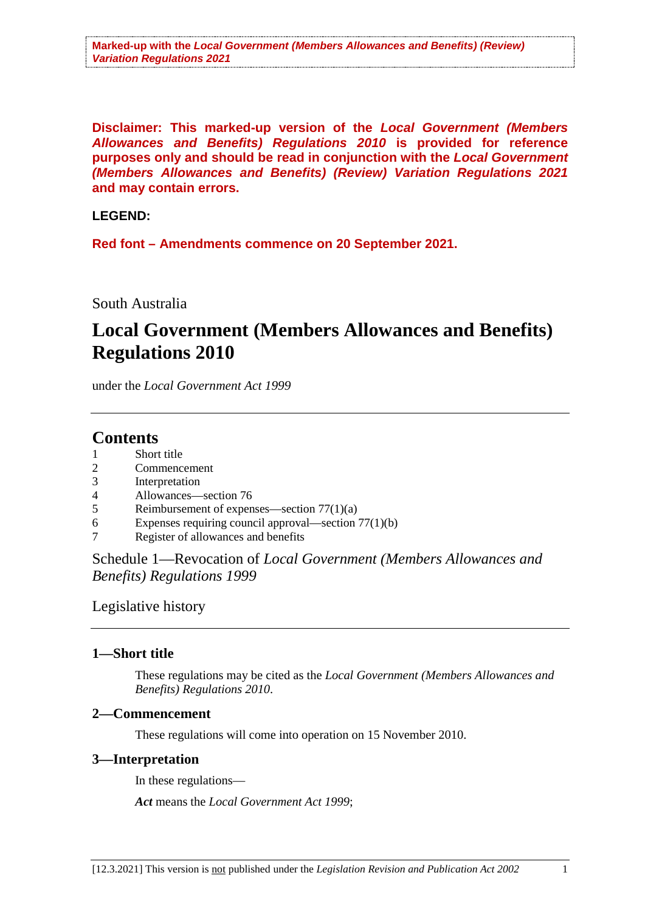**Disclaimer: This marked-up version of the** *Local Government (Members Allowances and Benefits) Regulations 2010* **is provided for reference purposes only and should be read in conjunction with the** *Local Government (Members Allowances and Benefits) (Review) Variation Regulations 2021*  **and may contain errors.**

#### **LEGEND:**

**Red font – Amendments commence on 20 September 2021.**

#### South Australia

# **Local Government (Members Allowances and Benefits) Regulations 2010**

under the *Local Government Act 1999*

# **Contents**

- Short title
- 2 Commencement<br>3 Interpretation
- **Interpretation**
- 4 Allowances—section 76
- 5 Reimbursement of expenses—section 77(1)(a)
- 6 Expenses requiring council approval—section 77(1)(b)
- 7 Register of allowances and benefits

Schedule 1—Revocation of *Local Government (Members Allowances and Benefits) Regulations 1999*

Legislative history

#### **1—Short title**

These regulations may be cited as the *Local Government (Members Allowances and Benefits) Regulations 2010*.

#### **2—Commencement**

These regulations will come into operation on 15 November 2010.

#### **3—Interpretation**

In these regulations—

*Act* means the *Local Government Act 1999*;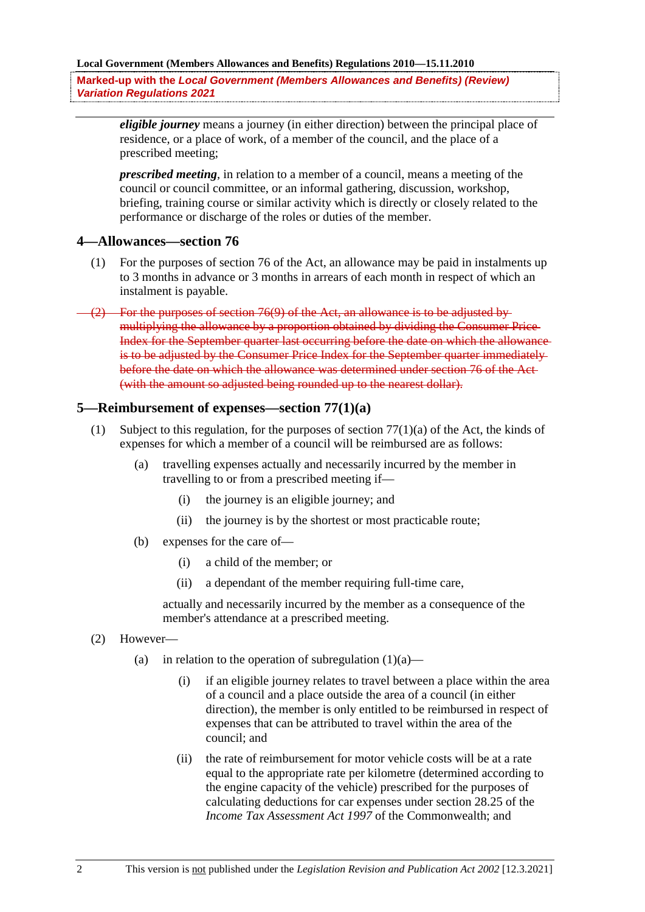**Marked-up with the** *Local Government (Members Allowances and Benefits) (Review) Variation Regulations 2021* 

*eligible journey* means a journey (in either direction) between the principal place of residence, or a place of work, of a member of the council, and the place of a prescribed meeting;

*prescribed meeting*, in relation to a member of a council, means a meeting of the council or council committee, or an informal gathering, discussion, workshop, briefing, training course or similar activity which is directly or closely related to the performance or discharge of the roles or duties of the member.

#### **4—Allowances—section 76**

- (1) For the purposes of section 76 of the Act, an allowance may be paid in instalments up to 3 months in advance or 3 months in arrears of each month in respect of which an instalment is payable.
- For the purposes of section 76(9) of the Act, an allowance is to be adjusted by multiplying the allowance by a proportion obtained by dividing the Consumer Price Index for the September quarter last occurring before the date on which the allowance is to be adjusted by the Consumer Price Index for the September quarter immediately before the date on which the allowance was determined under section 76 of the Act (with the amount so adjusted being rounded up to the nearest dollar).

#### **5—Reimbursement of expenses—section 77(1)(a)**

- (1) Subject to this regulation, for the purposes of section  $77(1)(a)$  of the Act, the kinds of expenses for which a member of a council will be reimbursed are as follows:
	- (a) travelling expenses actually and necessarily incurred by the member in travelling to or from a prescribed meeting if—
		- (i) the journey is an eligible journey; and
		- (ii) the journey is by the shortest or most practicable route;
	- (b) expenses for the care of—
		- (i) a child of the member; or
		- (ii) a dependant of the member requiring full-time care,

actually and necessarily incurred by the member as a consequence of the member's attendance at a prescribed meeting.

- (2) However—
	- (a) in relation to the operation of subregulation  $(1)(a)$ 
		- (i) if an eligible journey relates to travel between a place within the area of a council and a place outside the area of a council (in either direction), the member is only entitled to be reimbursed in respect of expenses that can be attributed to travel within the area of the council; and
		- (ii) the rate of reimbursement for motor vehicle costs will be at a rate equal to the appropriate rate per kilometre (determined according to the engine capacity of the vehicle) prescribed for the purposes of calculating deductions for car expenses under section 28.25 of the *Income Tax Assessment Act 1997* of the Commonwealth; and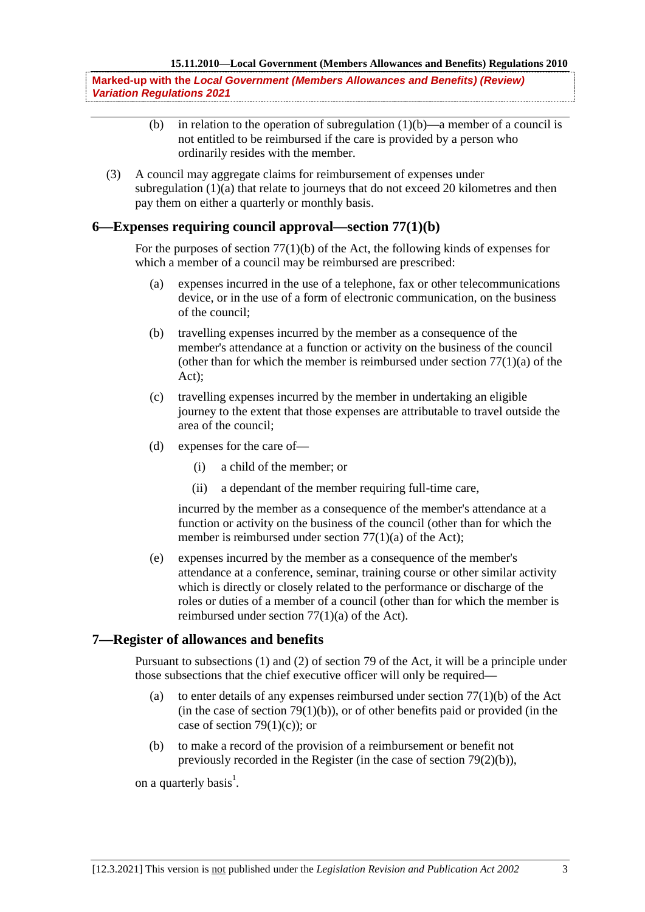**Marked-up with the** *Local Government (Members Allowances and Benefits) (Review) Variation Regulations 2021* 

- (b) in relation to the operation of subregulation  $(1)(b)$ —a member of a council is not entitled to be reimbursed if the care is provided by a person who ordinarily resides with the member.
- (3) A council may aggregate claims for reimbursement of expenses under subregulation  $(1)(a)$  that relate to journeys that do not exceed 20 kilometres and then pay them on either a quarterly or monthly basis.

#### **6—Expenses requiring council approval—section 77(1)(b)**

For the purposes of section 77(1)(b) of the Act, the following kinds of expenses for which a member of a council may be reimbursed are prescribed:

- (a) expenses incurred in the use of a telephone, fax or other telecommunications device, or in the use of a form of electronic communication, on the business of the council;
- (b) travelling expenses incurred by the member as a consequence of the member's attendance at a function or activity on the business of the council (other than for which the member is reimbursed under section  $77(1)(a)$  of the Act);
- (c) travelling expenses incurred by the member in undertaking an eligible journey to the extent that those expenses are attributable to travel outside the area of the council;
- (d) expenses for the care of—
	- (i) a child of the member; or
	- (ii) a dependant of the member requiring full-time care,

incurred by the member as a consequence of the member's attendance at a function or activity on the business of the council (other than for which the member is reimbursed under section 77(1)(a) of the Act);

(e) expenses incurred by the member as a consequence of the member's attendance at a conference, seminar, training course or other similar activity which is directly or closely related to the performance or discharge of the roles or duties of a member of a council (other than for which the member is reimbursed under section 77(1)(a) of the Act).

#### **7—Register of allowances and benefits**

Pursuant to subsections (1) and (2) of section 79 of the Act, it will be a principle under those subsections that the chief executive officer will only be required—

- (a) to enter details of any expenses reimbursed under section  $77(1)(b)$  of the Act (in the case of section  $79(1)(b)$ ), or of other benefits paid or provided (in the case of section 79 $(1)(c)$ ; or
- (b) to make a record of the provision of a reimbursement or benefit not previously recorded in the Register (in the case of section 79(2)(b)),

on a quarterly basis<sup>1</sup>.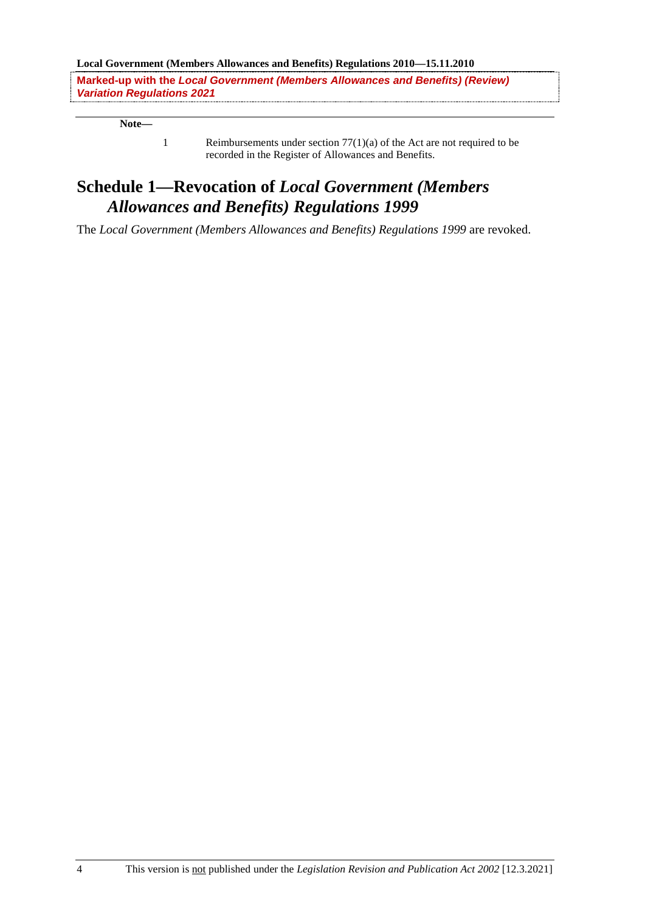**Local Government (Members Allowances and Benefits) Regulations 2010—15.11.2010**

**Marked-up with the** *Local Government (Members Allowances and Benefits) (Review) Variation Regulations 2021* 

**Note—**

1 Reimbursements under section 77(1)(a) of the Act are not required to be recorded in the Register of Allowances and Benefits.

## **Schedule 1—Revocation of** *Local Government (Members Allowances and Benefits) Regulations 1999*

The *Local Government (Members Allowances and Benefits) Regulations 1999* are revoked.